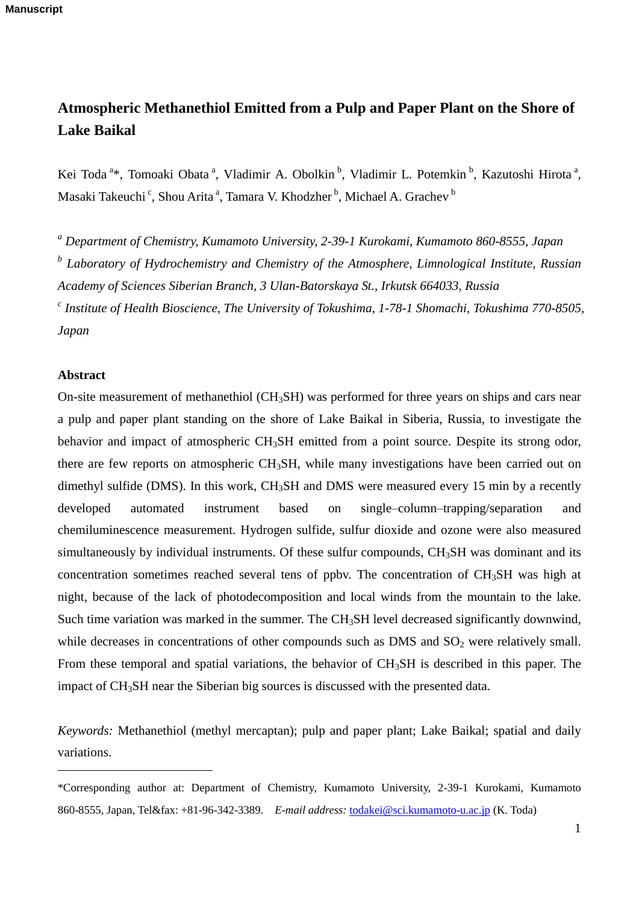# **Atmospheric Methanethiol Emitted from a Pulp and Paper Plant on the Shore of Lake Baikal**

Kei Toda<sup>a\*</sup>, Tomoaki Obata<sup>a</sup>, Vladimir A. Obolkin<sup>b</sup>, Vladimir L. Potemkin<sup>b</sup>, Kazutoshi Hirota<sup>a</sup>, Masaki Takeuchi <sup>c</sup>, Shou Arita ª, Tamara V. Khodzher <sup>b</sup>, Michael A. Grachev <sup>b</sup>

*<sup>a</sup> Department of Chemistry, Kumamoto University, 2-39-1 Kurokami, Kumamoto 860-8555, Japan* 

*b Laboratory of Hydrochemistry and Chemistry of the Atmosphere, Limnological Institute, Russian Academy of Sciences Siberian Branch, 3 Ulan-Batorskaya St., Irkutsk 664033, Russia* 

*c Institute of Health Bioscience, The University of Tokushima, 1-78-1 Shomachi, Tokushima 770-8505, Japan* 

# **Abstract**

 $\overline{a}$ 

On-site measurement of methanethiol ( $CH<sub>3</sub>SH$ ) was performed for three years on ships and cars near a pulp and paper plant standing on the shore of Lake Baikal in Siberia, Russia, to investigate the behavior and impact of atmospheric CH<sub>3</sub>SH emitted from a point source. Despite its strong odor, there are few reports on atmospheric CH3SH, while many investigations have been carried out on dimethyl sulfide (DMS). In this work, CH<sub>3</sub>SH and DMS were measured every 15 min by a recently developed automated instrument based on single–column–trapping/separation and chemiluminescence measurement. Hydrogen sulfide, sulfur dioxide and ozone were also measured simultaneously by individual instruments. Of these sulfur compounds,  $CH<sub>3</sub>SH$  was dominant and its concentration sometimes reached several tens of ppbv. The concentration of CH3SH was high at night, because of the lack of photodecomposition and local winds from the mountain to the lake. Such time variation was marked in the summer. The CH<sub>3</sub>SH level decreased significantly downwind, while decreases in concentrations of other compounds such as DMS and  $SO<sub>2</sub>$  were relatively small. From these temporal and spatial variations, the behavior of CH<sub>3</sub>SH is described in this paper. The impact of CH3SH near the Siberian big sources is discussed with the presented data.

*Keywords:* Methanethiol (methyl mercaptan); pulp and paper plant; Lake Baikal; spatial and daily variations.

<sup>\*</sup>Corresponding author at: Department of Chemistry, Kumamoto University, 2-39-1 Kurokami, Kumamoto 860-8555, Japan, Tel&fax: +81-96-342-3389. *E-mail address:* [todakei@sci.kumamoto-u.ac.jp](mailto:todakei@sci.kumamoto-u.ac.jp) (K. Toda)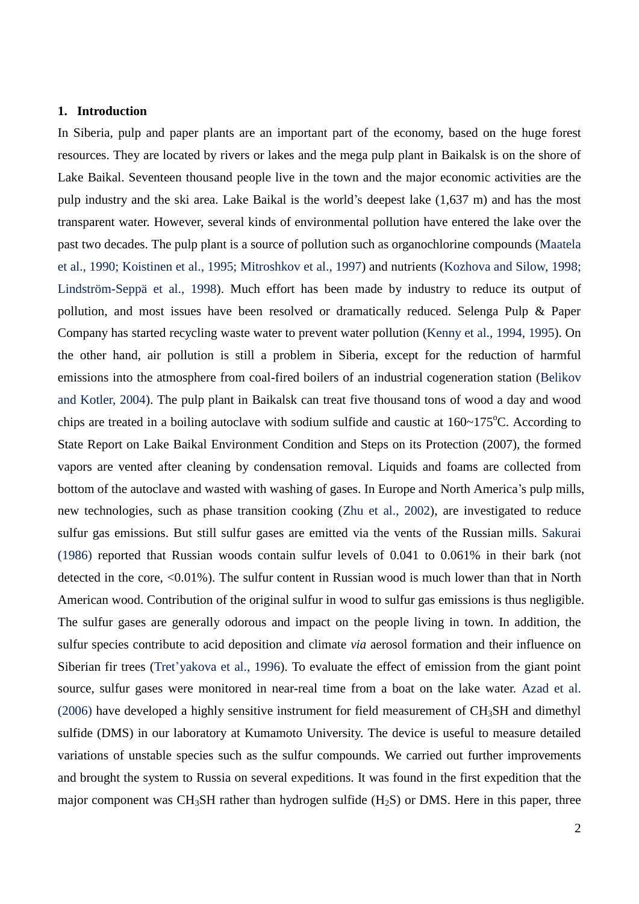#### **1. Introduction**

In Siberia, pulp and paper plants are an important part of the economy, based on the huge forest resources. They are located by rivers or lakes and the mega pulp plant in Baikalsk is on the shore of Lake Baikal. Seventeen thousand people live in the town and the major economic activities are the pulp industry and the ski area. Lake Baikal is the world's deepest lake (1,637 m) and has the most transparent water. However, several kinds of environmental pollution have entered the lake over the past two decades. The pulp plant is a source of pollution such as organochlorine compounds (Maatela et al., 1990; Koistinen et al., 1995; Mitroshkov et al., 1997) and nutrients (Kozhova and Silow, 1998; Lindström-Seppä et al., 1998). Much effort has been made by industry to reduce its output of pollution, and most issues have been resolved or dramatically reduced. Selenga Pulp & Paper Company has started recycling waste water to prevent water pollution (Kenny et al., 1994, 1995). On the other hand, air pollution is still a problem in Siberia, except for the reduction of harmful emissions into the atmosphere from coal-fired boilers of an industrial cogeneration station (Belikov and Kotler, 2004). The pulp plant in Baikalsk can treat five thousand tons of wood a day and wood chips are treated in a boiling autoclave with sodium sulfide and caustic at  $160~\text{--}175^{\circ}$ C. According to State Report on Lake Baikal Environment Condition and Steps on its Protection (2007), the formed vapors are vented after cleaning by condensation removal. Liquids and foams are collected from bottom of the autoclave and wasted with washing of gases. In Europe and North America's pulp mills, new technologies, such as phase transition cooking (Zhu et al., 2002), are investigated to reduce sulfur gas emissions. But still sulfur gases are emitted via the vents of the Russian mills. Sakurai (1986) reported that Russian woods contain sulfur levels of 0.041 to 0.061% in their bark (not detected in the core, <0.01%). The sulfur content in Russian wood is much lower than that in North American wood. Contribution of the original sulfur in wood to sulfur gas emissions is thus negligible. The sulfur gases are generally odorous and impact on the people living in town. In addition, the sulfur species contribute to acid deposition and climate *via* aerosol formation and their influence on Siberian fir trees (Tret'yakova et al., 1996). To evaluate the effect of emission from the giant point source, sulfur gases were monitored in near-real time from a boat on the lake water. Azad et al. (2006) have developed a highly sensitive instrument for field measurement of CH3SH and dimethyl sulfide (DMS) in our laboratory at Kumamoto University. The device is useful to measure detailed variations of unstable species such as the sulfur compounds. We carried out further improvements and brought the system to Russia on several expeditions. It was found in the first expedition that the major component was  $CH_3SH$  rather than hydrogen sulfide  $(H_2S)$  or DMS. Here in this paper, three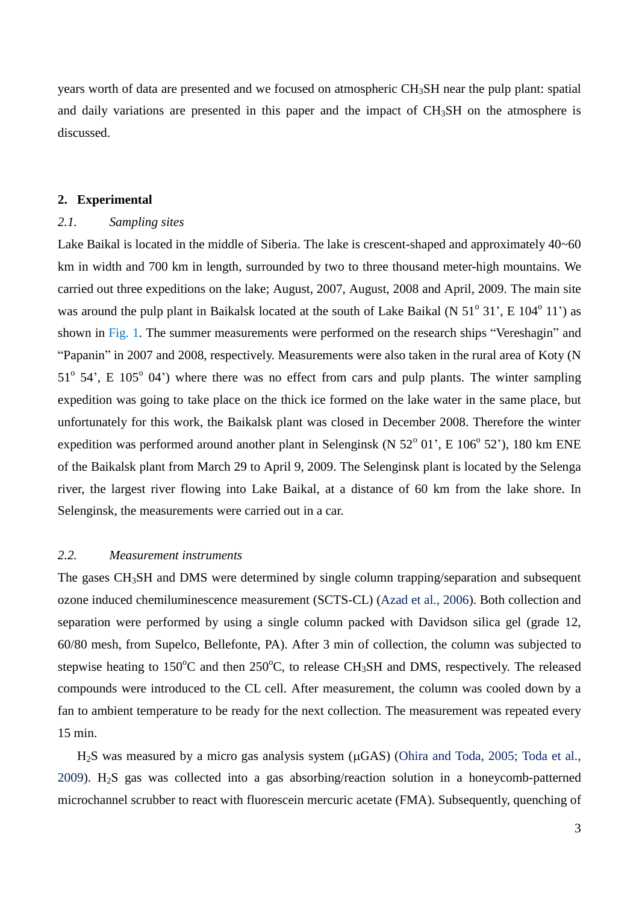years worth of data are presented and we focused on atmospheric CH3SH near the pulp plant: spatial and daily variations are presented in this paper and the impact of CH<sub>3</sub>SH on the atmosphere is discussed.

#### **2. Experimental**

# *2.1. Sampling sites*

Lake Baikal is located in the middle of Siberia. The lake is crescent-shaped and approximately 40~60 km in width and 700 km in length, surrounded by two to three thousand meter-high mountains. We carried out three expeditions on the lake; August, 2007, August, 2008 and April, 2009. The main site was around the pulp plant in Baikalsk located at the south of Lake Baikal (N  $51^{\circ}$  31', E  $104^{\circ}$  11') as shown in Fig. 1. The summer measurements were performed on the research ships "Vereshagin" and "Papanin" in 2007 and 2008, respectively. Measurements were also taken in the rural area of Koty (N  $51^{\circ}$  54', E 105 $^{\circ}$  04') where there was no effect from cars and pulp plants. The winter sampling expedition was going to take place on the thick ice formed on the lake water in the same place, but unfortunately for this work, the Baikalsk plant was closed in December 2008. Therefore the winter expedition was performed around another plant in Selenginsk (N  $52^{\circ}$  01', E  $106^{\circ}$  52'), 180 km ENE of the Baikalsk plant from March 29 to April 9, 2009. The Selenginsk plant is located by the Selenga river, the largest river flowing into Lake Baikal, at a distance of 60 km from the lake shore. In Selenginsk, the measurements were carried out in a car.

#### *2.2. Measurement instruments*

The gases CH<sub>3</sub>SH and DMS were determined by single column trapping/separation and subsequent ozone induced chemiluminescence measurement (SCTS-CL) (Azad et al., 2006). Both collection and separation were performed by using a single column packed with Davidson silica gel (grade 12, 60/80 mesh, from Supelco, Bellefonte, PA). After 3 min of collection, the column was subjected to stepwise heating to  $150^{\circ}$ C and then  $250^{\circ}$ C, to release CH<sub>3</sub>SH and DMS, respectively. The released compounds were introduced to the CL cell. After measurement, the column was cooled down by a fan to ambient temperature to be ready for the next collection. The measurement was repeated every 15 min.

 $H<sub>2</sub>S$  was measured by a micro gas analysis system ( $\mu$ GAS) (Ohira and Toda, 2005; Toda et al., 2009).  $H<sub>2</sub>S$  gas was collected into a gas absorbing/reaction solution in a honeycomb-patterned microchannel scrubber to react with fluorescein mercuric acetate (FMA). Subsequently, quenching of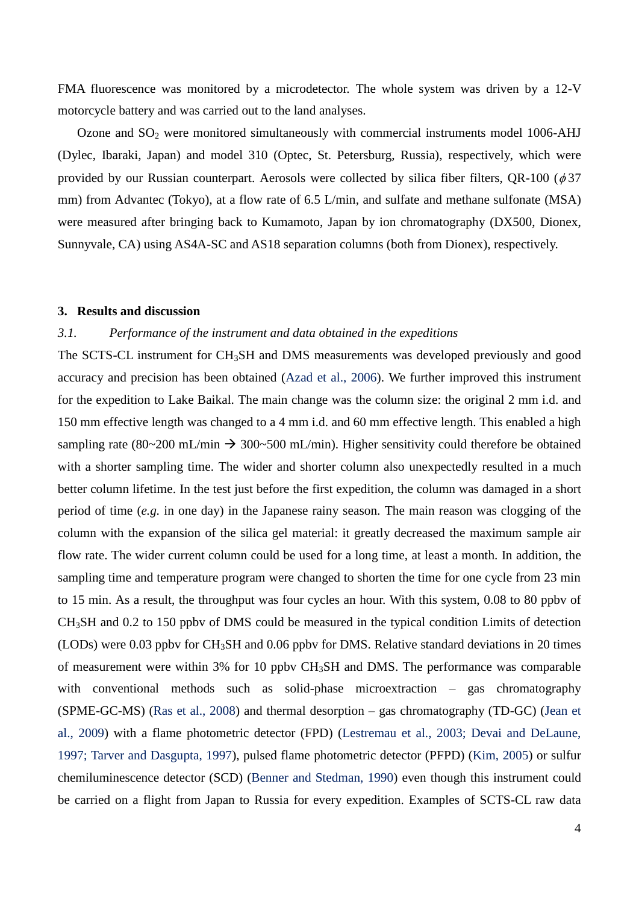FMA fluorescence was monitored by a microdetector. The whole system was driven by a 12-V motorcycle battery and was carried out to the land analyses.

Ozone and SO<sup>2</sup> were monitored simultaneously with commercial instruments model 1006-AHJ (Dylec, Ibaraki, Japan) and model 310 (Optec, St. Petersburg, Russia), respectively, which were provided by our Russian counterpart. Aerosols were collected by silica fiber filters, QR-100 ( $\phi$ 37 mm) from Advantec (Tokyo), at a flow rate of 6.5 L/min, and sulfate and methane sulfonate (MSA) were measured after bringing back to Kumamoto, Japan by ion chromatography (DX500, Dionex, Sunnyvale, CA) using AS4A-SC and AS18 separation columns (both from Dionex), respectively.

# **3. Results and discussion**

# *3.1. Performance of the instrument and data obtained in the expeditions*

The SCTS-CL instrument for CH<sub>3</sub>SH and DMS measurements was developed previously and good accuracy and precision has been obtained (Azad et al., 2006). We further improved this instrument for the expedition to Lake Baikal. The main change was the column size: the original 2 mm i.d. and 150 mm effective length was changed to a 4 mm i.d. and 60 mm effective length. This enabled a high sampling rate (80~200 mL/min  $\rightarrow$  300~500 mL/min). Higher sensitivity could therefore be obtained with a shorter sampling time. The wider and shorter column also unexpectedly resulted in a much better column lifetime. In the test just before the first expedition, the column was damaged in a short period of time (*e.g.* in one day) in the Japanese rainy season. The main reason was clogging of the column with the expansion of the silica gel material: it greatly decreased the maximum sample air flow rate. The wider current column could be used for a long time, at least a month. In addition, the sampling time and temperature program were changed to shorten the time for one cycle from 23 min to 15 min. As a result, the throughput was four cycles an hour. With this system, 0.08 to 80 ppbv of CH3SH and 0.2 to 150 ppbv of DMS could be measured in the typical condition Limits of detection (LODs) were 0.03 ppbv for CH3SH and 0.06 ppbv for DMS. Relative standard deviations in 20 times of measurement were within 3% for 10 ppbv CH3SH and DMS. The performance was comparable with conventional methods such as solid-phase microextraction – gas chromatography (SPME-GC-MS) (Ras et al., 2008) and thermal desorption – gas chromatography (TD-GC) (Jean et al., 2009) with a flame photometric detector (FPD) (Lestremau et al., 2003; Devai and DeLaune, 1997; Tarver and Dasgupta, 1997), pulsed flame photometric detector (PFPD) (Kim, 2005) or sulfur chemiluminescence detector (SCD) (Benner and Stedman, 1990) even though this instrument could be carried on a flight from Japan to Russia for every expedition. Examples of SCTS-CL raw data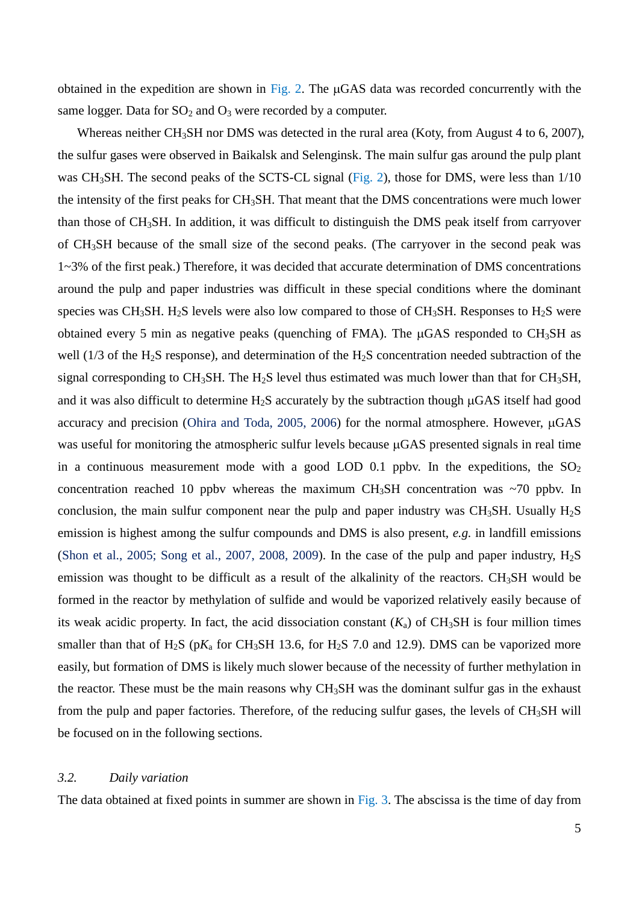obtained in the expedition are shown in Fig. 2. The  $\mu$ GAS data was recorded concurrently with the same logger. Data for  $SO_2$  and  $O_3$  were recorded by a computer.

Whereas neither CH<sub>3</sub>SH nor DMS was detected in the rural area (Koty, from August 4 to 6, 2007), the sulfur gases were observed in Baikalsk and Selenginsk. The main sulfur gas around the pulp plant was CH<sub>3</sub>SH. The second peaks of the SCTS-CL signal (Fig. 2), those for DMS, were less than 1/10 the intensity of the first peaks for CH3SH. That meant that the DMS concentrations were much lower than those of CH3SH. In addition, it was difficult to distinguish the DMS peak itself from carryover of CH3SH because of the small size of the second peaks. (The carryover in the second peak was 1~3% of the first peak.) Therefore, it was decided that accurate determination of DMS concentrations around the pulp and paper industries was difficult in these special conditions where the dominant species was CH<sub>3</sub>SH. H<sub>2</sub>S levels were also low compared to those of CH<sub>3</sub>SH. Responses to H<sub>2</sub>S were obtained every 5 min as negative peaks (quenching of FMA). The  $\mu$ GAS responded to CH<sub>3</sub>SH as well (1/3 of the H<sub>2</sub>S response), and determination of the H<sub>2</sub>S concentration needed subtraction of the signal corresponding to CH<sub>3</sub>SH. The H<sub>2</sub>S level thus estimated was much lower than that for CH<sub>3</sub>SH, and it was also difficult to determine  $H_2S$  accurately by the subtraction though  $\mu$ GAS itself had good accuracy and precision (Ohira and Toda, 2005, 2006) for the normal atmosphere. However,  $\mu$ GAS was useful for monitoring the atmospheric sulfur levels because  $\mu$ GAS presented signals in real time in a continuous measurement mode with a good LOD 0.1 ppby. In the expeditions, the  $SO<sub>2</sub>$ concentration reached 10 ppby whereas the maximum CH<sub>3</sub>SH concentration was  $\sim$ 70 ppby. In conclusion, the main sulfur component near the pulp and paper industry was CH<sub>3</sub>SH. Usually  $H_2S$ emission is highest among the sulfur compounds and DMS is also present, *e.g.* in landfill emissions (Shon et al., 2005; Song et al., 2007, 2008, 2009). In the case of the pulp and paper industry,  $H_2S$ emission was thought to be difficult as a result of the alkalinity of the reactors. CH<sub>3</sub>SH would be formed in the reactor by methylation of sulfide and would be vaporized relatively easily because of its weak acidic property. In fact, the acid dissociation constant  $(K_a)$  of CH<sub>3</sub>SH is four million times smaller than that of  $H_2S$  ( $pK_a$  for CH<sub>3</sub>SH 13.6, for  $H_2S$  7.0 and 12.9). DMS can be vaporized more easily, but formation of DMS is likely much slower because of the necessity of further methylation in the reactor. These must be the main reasons why CH3SH was the dominant sulfur gas in the exhaust from the pulp and paper factories. Therefore, of the reducing sulfur gases, the levels of  $CH<sub>3</sub>SH$  will be focused on in the following sections.

# *3.2. Daily variation*

The data obtained at fixed points in summer are shown in Fig. 3. The abscissa is the time of day from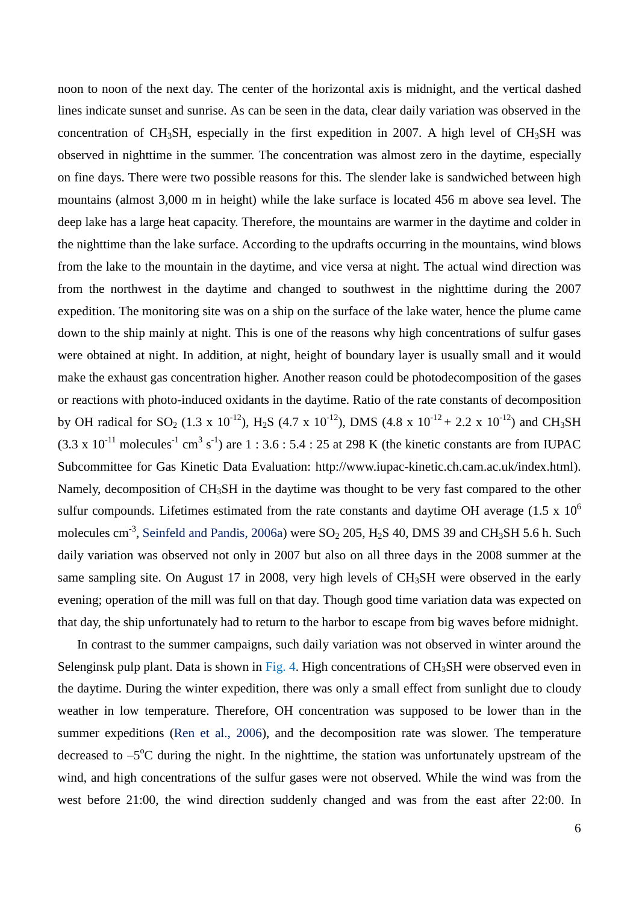noon to noon of the next day. The center of the horizontal axis is midnight, and the vertical dashed lines indicate sunset and sunrise. As can be seen in the data, clear daily variation was observed in the concentration of CH<sub>3</sub>SH, especially in the first expedition in 2007. A high level of CH<sub>3</sub>SH was observed in nighttime in the summer. The concentration was almost zero in the daytime, especially on fine days. There were two possible reasons for this. The slender lake is sandwiched between high mountains (almost 3,000 m in height) while the lake surface is located 456 m above sea level. The deep lake has a large heat capacity. Therefore, the mountains are warmer in the daytime and colder in the nighttime than the lake surface. According to the updrafts occurring in the mountains, wind blows from the lake to the mountain in the daytime, and vice versa at night. The actual wind direction was from the northwest in the daytime and changed to southwest in the nighttime during the 2007 expedition. The monitoring site was on a ship on the surface of the lake water, hence the plume came down to the ship mainly at night. This is one of the reasons why high concentrations of sulfur gases were obtained at night. In addition, at night, height of boundary layer is usually small and it would make the exhaust gas concentration higher. Another reason could be photodecomposition of the gases or reactions with photo-induced oxidants in the daytime. Ratio of the rate constants of decomposition by OH radical for SO<sub>2</sub> (1.3 x 10<sup>-12</sup>), H<sub>2</sub>S (4.7 x 10<sup>-12</sup>), DMS (4.8 x 10<sup>-12</sup> + 2.2 x 10<sup>-12</sup>) and CH<sub>3</sub>SH  $(3.3 \times 10^{-11} \text{ molecules}^{-1} \text{ cm}^3 \text{ s}^{-1})$  are 1 : 3.6 : 5.4 : 25 at 298 K (the kinetic constants are from IUPAC Subcommittee for Gas Kinetic Data Evaluation: http://www.iupac-kinetic.ch.cam.ac.uk/index.html). Namely, decomposition of CH<sub>3</sub>SH in the daytime was thought to be very fast compared to the other sulfur compounds. Lifetimes estimated from the rate constants and daytime OH average  $(1.5 \times 10^6$ molecules cm<sup>-3</sup>, Seinfeld and Pandis, 2006a) were  $SO_2$  205,  $H_2S$  40, DMS 39 and CH<sub>3</sub>SH 5.6 h. Such daily variation was observed not only in 2007 but also on all three days in the 2008 summer at the same sampling site. On August 17 in 2008, very high levels of CH<sub>3</sub>SH were observed in the early evening; operation of the mill was full on that day. Though good time variation data was expected on that day, the ship unfortunately had to return to the harbor to escape from big waves before midnight.

In contrast to the summer campaigns, such daily variation was not observed in winter around the Selenginsk pulp plant. Data is shown in Fig. 4. High concentrations of  $CH<sub>3</sub>SH$  were observed even in the daytime. During the winter expedition, there was only a small effect from sunlight due to cloudy weather in low temperature. Therefore, OH concentration was supposed to be lower than in the summer expeditions (Ren et al., 2006), and the decomposition rate was slower. The temperature decreased to  $-5^{\circ}$ C during the night. In the nighttime, the station was unfortunately upstream of the wind, and high concentrations of the sulfur gases were not observed. While the wind was from the west before 21:00, the wind direction suddenly changed and was from the east after 22:00. In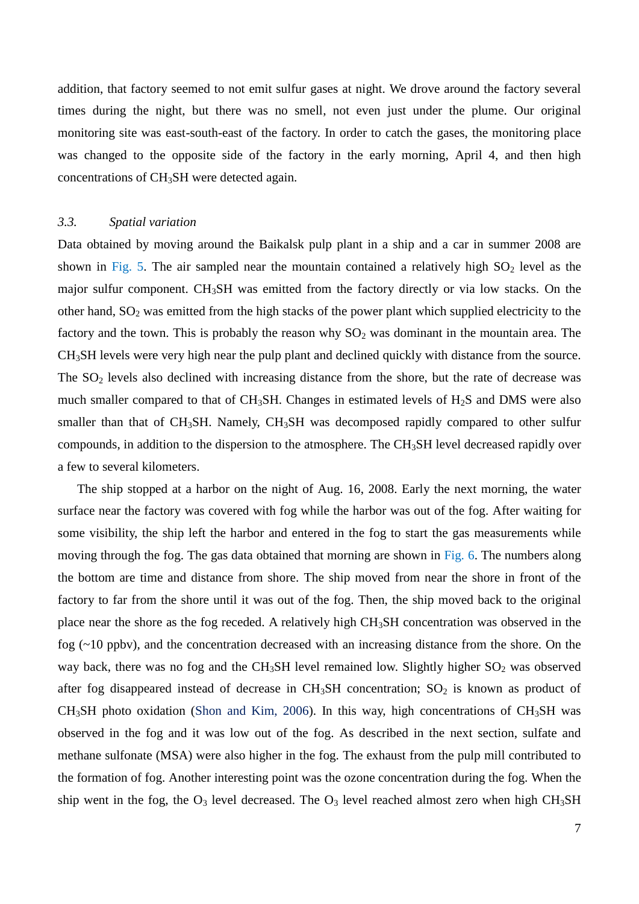addition, that factory seemed to not emit sulfur gases at night. We drove around the factory several times during the night, but there was no smell, not even just under the plume. Our original monitoring site was east-south-east of the factory. In order to catch the gases, the monitoring place was changed to the opposite side of the factory in the early morning, April 4, and then high concentrations of CH3SH were detected again.

#### *3.3. Spatial variation*

Data obtained by moving around the Baikalsk pulp plant in a ship and a car in summer 2008 are shown in Fig. 5. The air sampled near the mountain contained a relatively high  $SO_2$  level as the major sulfur component. CH3SH was emitted from the factory directly or via low stacks. On the other hand,  $SO_2$  was emitted from the high stacks of the power plant which supplied electricity to the factory and the town. This is probably the reason why  $SO<sub>2</sub>$  was dominant in the mountain area. The CH3SH levels were very high near the pulp plant and declined quickly with distance from the source. The  $SO<sub>2</sub>$  levels also declined with increasing distance from the shore, but the rate of decrease was much smaller compared to that of  $CH_3SH$ . Changes in estimated levels of  $H_2S$  and DMS were also smaller than that of CH<sub>3</sub>SH. Namely, CH<sub>3</sub>SH was decomposed rapidly compared to other sulfur compounds, in addition to the dispersion to the atmosphere. The CH3SH level decreased rapidly over a few to several kilometers.

The ship stopped at a harbor on the night of Aug. 16, 2008. Early the next morning, the water surface near the factory was covered with fog while the harbor was out of the fog. After waiting for some visibility, the ship left the harbor and entered in the fog to start the gas measurements while moving through the fog. The gas data obtained that morning are shown in Fig. 6. The numbers along the bottom are time and distance from shore. The ship moved from near the shore in front of the factory to far from the shore until it was out of the fog. Then, the ship moved back to the original place near the shore as the fog receded. A relatively high CH3SH concentration was observed in the fog (~10 ppbv), and the concentration decreased with an increasing distance from the shore. On the way back, there was no fog and the CH<sub>3</sub>SH level remained low. Slightly higher  $SO<sub>2</sub>$  was observed after fog disappeared instead of decrease in  $CH_3SH$  concentration;  $SO_2$  is known as product of  $CH<sub>3</sub>SH$  photo oxidation (Shon and Kim, 2006). In this way, high concentrations of  $CH<sub>3</sub>SH$  was observed in the fog and it was low out of the fog. As described in the next section, sulfate and methane sulfonate (MSA) were also higher in the fog. The exhaust from the pulp mill contributed to the formation of fog. Another interesting point was the ozone concentration during the fog. When the ship went in the fog, the  $O_3$  level decreased. The  $O_3$  level reached almost zero when high CH<sub>3</sub>SH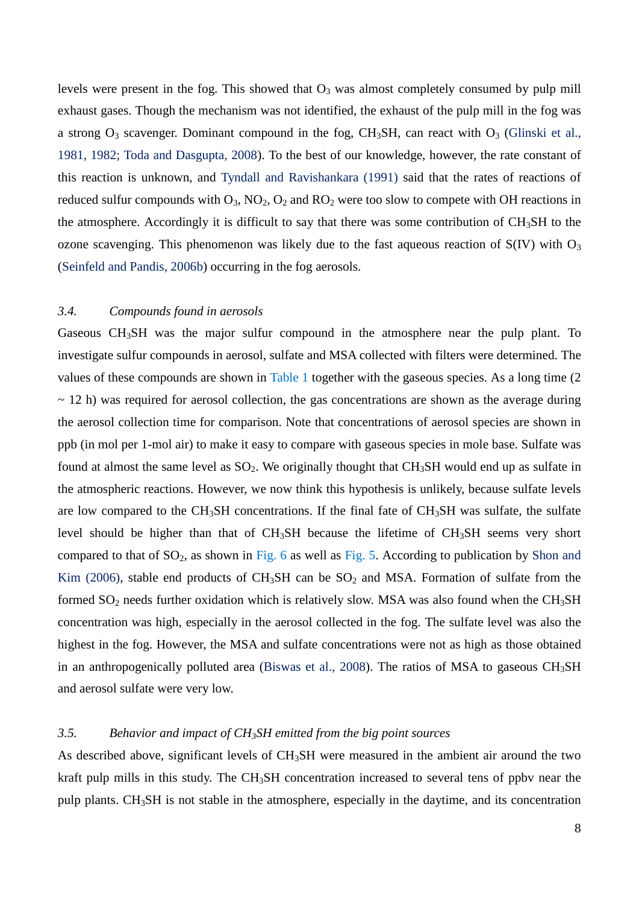levels were present in the fog. This showed that  $O_3$  was almost completely consumed by pulp mill exhaust gases. Though the mechanism was not identified, the exhaust of the pulp mill in the fog was a strong  $O_3$  scavenger. Dominant compound in the fog, CH<sub>3</sub>SH, can react with  $O_3$  (Glinski et al., 1981, 1982; Toda and Dasgupta, 2008). To the best of our knowledge, however, the rate constant of this reaction is unknown, and Tyndall and Ravishankara (1991) said that the rates of reactions of reduced sulfur compounds with  $O_3$ ,  $NO_2$ ,  $O_2$  and  $RO_2$  were too slow to compete with OH reactions in the atmosphere. Accordingly it is difficult to say that there was some contribution of CH3SH to the ozone scavenging. This phenomenon was likely due to the fast aqueous reaction of  $S(IV)$  with  $O<sub>3</sub>$ (Seinfeld and Pandis, 2006b) occurring in the fog aerosols.

# *3.4. Compounds found in aerosols*

Gaseous CH3SH was the major sulfur compound in the atmosphere near the pulp plant. To investigate sulfur compounds in aerosol, sulfate and MSA collected with filters were determined. The values of these compounds are shown in Table 1 together with the gaseous species. As a long time (2  $\sim$  12 h) was required for aerosol collection, the gas concentrations are shown as the average during the aerosol collection time for comparison. Note that concentrations of aerosol species are shown in ppb (in mol per 1-mol air) to make it easy to compare with gaseous species in mole base. Sulfate was found at almost the same level as  $SO_2$ . We originally thought that  $CH_3SH$  would end up as sulfate in the atmospheric reactions. However, we now think this hypothesis is unlikely, because sulfate levels are low compared to the  $CH_3SH$  concentrations. If the final fate of  $CH_3SH$  was sulfate, the sulfate level should be higher than that of  $CH_3SH$  because the lifetime of  $CH_3SH$  seems very short compared to that of  $SO_2$ , as shown in Fig. 6 as well as Fig. 5. According to publication by Shon and Kim (2006), stable end products of  $CH_3SH$  can be  $SO_2$  and MSA. Formation of sulfate from the formed  $SO_2$  needs further oxidation which is relatively slow. MSA was also found when the CH<sub>3</sub>SH concentration was high, especially in the aerosol collected in the fog. The sulfate level was also the highest in the fog. However, the MSA and sulfate concentrations were not as high as those obtained in an anthropogenically polluted area (Biswas et al., 2008). The ratios of MSA to gaseous  $CH<sub>3</sub>SH$ and aerosol sulfate were very low.

# *3.5. Behavior and impact of CH3SH emitted from the big point sources*

As described above, significant levels of CH<sub>3</sub>SH were measured in the ambient air around the two kraft pulp mills in this study. The CH3SH concentration increased to several tens of ppbv near the pulp plants. CH3SH is not stable in the atmosphere, especially in the daytime, and its concentration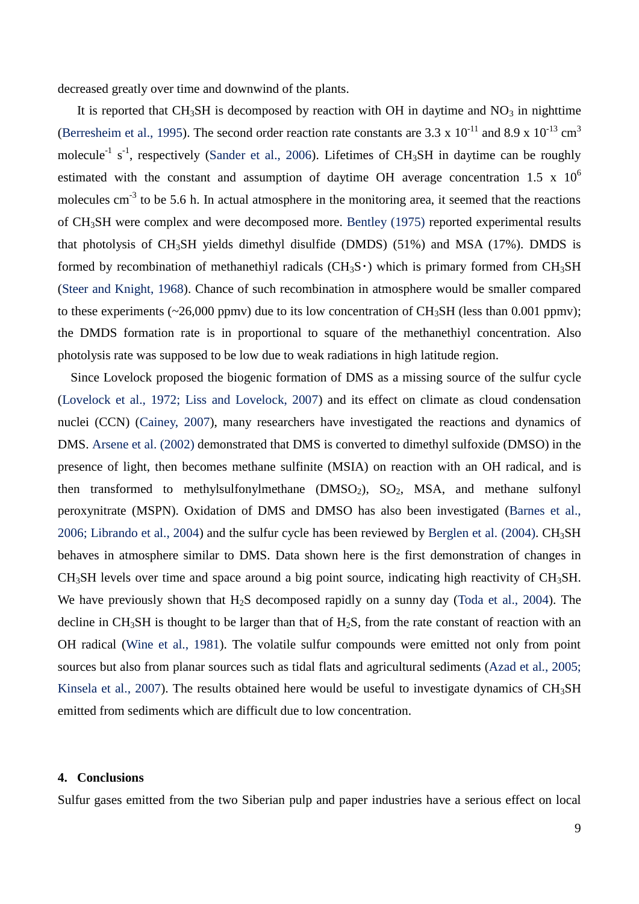decreased greatly over time and downwind of the plants.

It is reported that  $CH_3SH$  is decomposed by reaction with OH in daytime and  $NO_3$  in nighttime (Berresheim et al., 1995). The second order reaction rate constants are 3.3 x  $10^{-11}$  and 8.9 x  $10^{-13}$  cm<sup>3</sup> molecule<sup>-1</sup> s<sup>-1</sup>, respectively (Sander et al., 2006). Lifetimes of CH<sub>3</sub>SH in daytime can be roughly estimated with the constant and assumption of daytime OH average concentration 1.5 x  $10^6$ molecules  $cm^{-3}$  to be 5.6 h. In actual atmosphere in the monitoring area, it seemed that the reactions of CH3SH were complex and were decomposed more. Bentley (1975) reported experimental results that photolysis of CH3SH yields dimethyl disulfide (DMDS) (51%) and MSA (17%). DMDS is formed by recombination of methanethiyl radicals ( $CH_3S$ ) which is primary formed from  $CH_3SH$ (Steer and Knight, 1968). Chance of such recombination in atmosphere would be smaller compared to these experiments ( $\sim$ 26,000 ppmv) due to its low concentration of CH<sub>3</sub>SH (less than 0.001 ppmv); the DMDS formation rate is in proportional to square of the methanethiyl concentration. Also photolysis rate was supposed to be low due to weak radiations in high latitude region.

Since Lovelock proposed the biogenic formation of DMS as a missing source of the sulfur cycle (Lovelock et al., 1972; Liss and Lovelock, 2007) and its effect on climate as cloud condensation nuclei (CCN) (Cainey, 2007), many researchers have investigated the reactions and dynamics of DMS. Arsene et al. (2002) demonstrated that DMS is converted to dimethyl sulfoxide (DMSO) in the presence of light, then becomes methane sulfinite (MSIA) on reaction with an OH radical, and is then transformed to methylsulfonylmethane  $(DMSO<sub>2</sub>)$ ,  $SO<sub>2</sub>$ ,  $MSA$ , and methane sulfonyl peroxynitrate (MSPN). Oxidation of DMS and DMSO has also been investigated (Barnes et al., 2006; Librando et al., 2004) and the sulfur cycle has been reviewed by Berglen et al. (2004). CH<sub>3</sub>SH behaves in atmosphere similar to DMS. Data shown here is the first demonstration of changes in CH3SH levels over time and space around a big point source, indicating high reactivity of CH3SH. We have previously shown that  $H_2S$  decomposed rapidly on a sunny day (Toda et al., 2004). The decline in  $CH_3SH$  is thought to be larger than that of  $H_2S$ , from the rate constant of reaction with an OH radical (Wine et al., 1981). The volatile sulfur compounds were emitted not only from point sources but also from planar sources such as tidal flats and agricultural sediments (Azad et al., 2005; Kinsela et al., 2007). The results obtained here would be useful to investigate dynamics of CH<sub>3</sub>SH emitted from sediments which are difficult due to low concentration.

#### **4. Conclusions**

Sulfur gases emitted from the two Siberian pulp and paper industries have a serious effect on local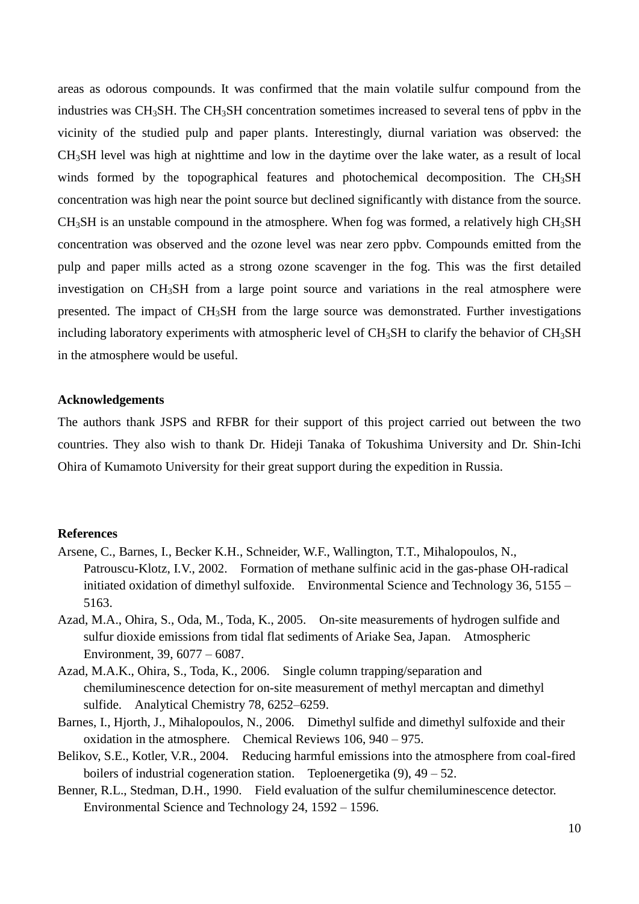areas as odorous compounds. It was confirmed that the main volatile sulfur compound from the industries was CH<sub>3</sub>SH. The CH<sub>3</sub>SH concentration sometimes increased to several tens of ppbv in the vicinity of the studied pulp and paper plants. Interestingly, diurnal variation was observed: the CH3SH level was high at nighttime and low in the daytime over the lake water, as a result of local winds formed by the topographical features and photochemical decomposition. The CH<sub>3</sub>SH concentration was high near the point source but declined significantly with distance from the source.  $CH<sub>3</sub>SH$  is an unstable compound in the atmosphere. When fog was formed, a relatively high  $CH<sub>3</sub>SH$ concentration was observed and the ozone level was near zero ppbv. Compounds emitted from the pulp and paper mills acted as a strong ozone scavenger in the fog. This was the first detailed investigation on CH3SH from a large point source and variations in the real atmosphere were presented. The impact of CH3SH from the large source was demonstrated. Further investigations including laboratory experiments with atmospheric level of CH<sub>3</sub>SH to clarify the behavior of CH<sub>3</sub>SH in the atmosphere would be useful.

### **Acknowledgements**

The authors thank JSPS and RFBR for their support of this project carried out between the two countries. They also wish to thank Dr. Hideji Tanaka of Tokushima University and Dr. Shin-Ichi Ohira of Kumamoto University for their great support during the expedition in Russia.

### **References**

- Arsene, C., Barnes, I., Becker K.H., Schneider, W.F., Wallington, T.T., Mihalopoulos, N., Patrouscu-Klotz, I.V., 2002. Formation of methane sulfinic acid in the gas-phase OH-radical initiated oxidation of dimethyl sulfoxide. Environmental Science and Technology 36, 5155 – 5163.
- Azad, M.A., Ohira, S., Oda, M., Toda, K., 2005. On-site measurements of hydrogen sulfide and sulfur dioxide emissions from tidal flat sediments of Ariake Sea, Japan. Atmospheric Environment, 39, 6077 – 6087.
- Azad, M.A.K., Ohira, S., Toda, K., 2006. Single column trapping/separation and chemiluminescence detection for on-site measurement of methyl mercaptan and dimethyl sulfide. Analytical Chemistry 78, 6252–6259.
- Barnes, I., Hjorth, J., Mihalopoulos, N., 2006. Dimethyl sulfide and dimethyl sulfoxide and their oxidation in the atmosphere. Chemical Reviews 106, 940 – 975.
- Belikov, S.E., Kotler, V.R., 2004. Reducing harmful emissions into the atmosphere from coal-fired boilers of industrial cogeneration station. Teploenergetika  $(9)$ ,  $49 - 52$ .
- Benner, R.L., Stedman, D.H., 1990. Field evaluation of the sulfur chemiluminescence detector. Environmental Science and Technology 24, 1592 – 1596.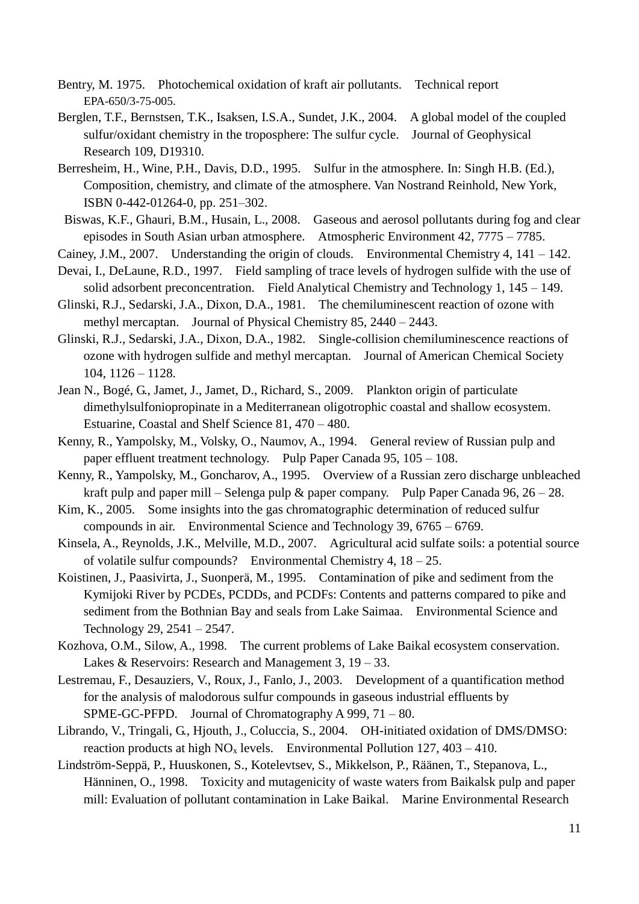- Bentry, M. 1975. Photochemical oxidation of kraft air pollutants. Technical report EPA-650/3-75-005.
- Berglen, T.F., Bernstsen, T.K., Isaksen, I.S.A., Sundet, J.K., 2004. A global model of the coupled sulfur/oxidant chemistry in the troposphere: The sulfur cycle. Journal of Geophysical Research 109, D19310.
- Berresheim, H., Wine, P.H., Davis, D.D., 1995. Sulfur in the atmosphere. In: Singh H.B. (Ed.), Composition, chemistry, and climate of the atmosphere. Van Nostrand Reinhold, New York, ISBN 0-442-01264-0, pp. 251–302.
- Biswas, K.F., Ghauri, B.M., Husain, L., 2008. Gaseous and aerosol pollutants during fog and clear episodes in South Asian urban atmosphere. Atmospheric Environment 42, 7775 – 7785.
- Cainey, J.M., 2007. Understanding the origin of clouds. Environmental Chemistry 4, 141 142.
- Devai, I., DeLaune, R.D., 1997. Field sampling of trace levels of hydrogen sulfide with the use of solid adsorbent preconcentration. Field Analytical Chemistry and Technology 1, 145 – 149.
- Glinski, R.J., Sedarski, J.A., Dixon, D.A., 1981. The chemiluminescent reaction of ozone with methyl mercaptan. Journal of Physical Chemistry 85, 2440 – 2443.
- Glinski, R.J., Sedarski, J.A., Dixon, D.A., 1982. Single-collision chemiluminescence reactions of ozone with hydrogen sulfide and methyl mercaptan. Journal of American Chemical Society 104, 1126 – 1128.
- Jean N., Bogé, G., Jamet, J., Jamet, D., Richard, S., 2009. Plankton origin of particulate dimethylsulfoniopropinate in a Mediterranean oligotrophic coastal and shallow ecosystem. Estuarine, Coastal and Shelf Science 81, 470 – 480.
- Kenny, R., Yampolsky, M., Volsky, O., Naumov, A., 1994. General review of Russian pulp and paper effluent treatment technology. Pulp Paper Canada 95, 105 – 108.
- Kenny, R., Yampolsky, M., Goncharov, A., 1995. Overview of a Russian zero discharge unbleached kraft pulp and paper mill – Selenga pulp & paper company. Pulp Paper Canada 96, 26 – 28.
- Kim, K., 2005. Some insights into the gas chromatographic determination of reduced sulfur compounds in air. Environmental Science and Technology 39, 6765 – 6769.
- Kinsela, A., Reynolds, J.K., Melville, M.D., 2007. Agricultural acid sulfate soils: a potential source of volatile sulfur compounds? Environmental Chemistry 4, 18 – 25.
- Koistinen, J., Paasivirta, J., Suonperä, M., 1995. Contamination of pike and sediment from the Kymijoki River by PCDEs, PCDDs, and PCDFs: Contents and patterns compared to pike and sediment from the Bothnian Bay and seals from Lake Saimaa. Environmental Science and Technology 29, 2541 – 2547.
- Kozhova, O.M., Silow, A., 1998. The current problems of Lake Baikal ecosystem conservation. Lakes & Reservoirs: Research and Management 3,  $19 - 33$ .
- Lestremau, F., Desauziers, V., Roux, J., Fanlo, J., 2003. Development of a quantification method for the analysis of malodorous sulfur compounds in gaseous industrial effluents by SPME-GC-PFPD. Journal of Chromatography A 999, 71 – 80.
- Librando, V., Tringali, G., Hjouth, J., Coluccia, S., 2004. OH-initiated oxidation of DMS/DMSO: reaction products at high  $NO<sub>x</sub>$  levels. Environmental Pollution 127, 403 – 410.
- Lindström-Seppä, P., Huuskonen, S., Kotelevtsev, S., Mikkelson, P., Räänen, T., Stepanova, L., Hänninen, O., 1998. Toxicity and mutagenicity of waste waters from Baikalsk pulp and paper mill: Evaluation of pollutant contamination in Lake Baikal. Marine Environmental Research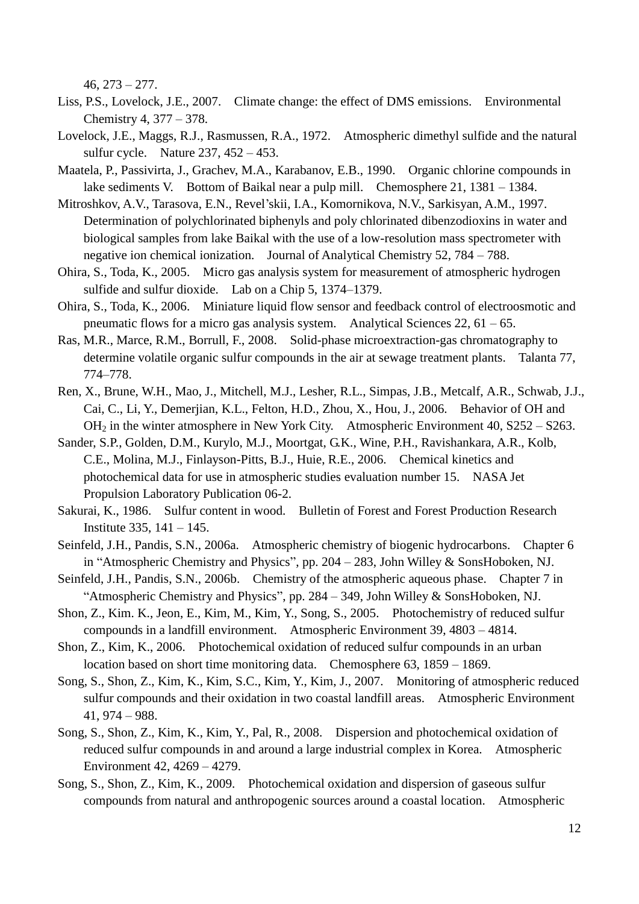$46, 273 - 277.$ 

- Liss, P.S., Lovelock, J.E., 2007. Climate change: the effect of DMS emissions. Environmental Chemistry 4, 377 – 378.
- Lovelock, J.E., Maggs, R.J., Rasmussen, R.A., 1972. Atmospheric dimethyl sulfide and the natural sulfur cycle. Nature 237, 452 – 453.
- Maatela, P., Passivirta, J., Grachev, M.A., Karabanov, E.B., 1990. Organic chlorine compounds in lake sediments V. Bottom of Baikal near a pulp mill. Chemosphere 21, 1381 – 1384.
- Mitroshkov, A.V., Tarasova, E.N., Revel'skii, I.A., Komornikova, N.V., Sarkisyan, A.M., 1997. Determination of polychlorinated biphenyls and poly chlorinated dibenzodioxins in water and biological samples from lake Baikal with the use of a low-resolution mass spectrometer with negative ion chemical ionization. Journal of Analytical Chemistry 52, 784 – 788.
- Ohira, S., Toda, K., 2005. Micro gas analysis system for measurement of atmospheric hydrogen sulfide and sulfur dioxide. Lab on a Chip 5, 1374–1379.
- Ohira, S., Toda, K., 2006. Miniature liquid flow sensor and feedback control of electroosmotic and pneumatic flows for a micro gas analysis system. Analytical Sciences 22,  $61 - 65$ .
- Ras, M.R., Marce, R.M., Borrull, F., 2008. Solid-phase microextraction-gas chromatography to determine volatile organic sulfur compounds in the air at sewage treatment plants. Talanta 77, 774–778.
- Ren, X., Brune, W.H., Mao, J., Mitchell, M.J., Lesher, R.L., Simpas, J.B., Metcalf, A.R., Schwab, J.J., Cai, C., Li, Y., Demerjian, K.L., Felton, H.D., Zhou, X., Hou, J., 2006. Behavior of OH and OH<sup>2</sup> in the winter atmosphere in New York City. Atmospheric Environment 40, S252 – S263.
- Sander, S.P., Golden, D.M., Kurylo, M.J., Moortgat, G.K., Wine, P.H., Ravishankara, A.R., Kolb, C.E., Molina, M.J., Finlayson-Pitts, B.J., Huie, R.E., 2006. Chemical kinetics and photochemical data for use in atmospheric studies evaluation number 15. NASA Jet Propulsion Laboratory Publication 06-2.
- Sakurai, K., 1986. Sulfur content in wood. Bulletin of Forest and Forest Production Research Institute 335, 141 – 145.
- Seinfeld, J.H., Pandis, S.N., 2006a. Atmospheric chemistry of biogenic hydrocarbons. Chapter 6 in "Atmospheric Chemistry and Physics", pp. 204 – 283, John Willey & SonsHoboken, NJ.
- Seinfeld, J.H., Pandis, S.N., 2006b. Chemistry of the atmospheric aqueous phase. Chapter 7 in "Atmospheric Chemistry and Physics", pp. 284 – 349, John Willey & SonsHoboken, NJ.
- Shon, Z., Kim. K., Jeon, E., Kim, M., Kim, Y., Song, S., 2005. Photochemistry of reduced sulfur compounds in a landfill environment. Atmospheric Environment 39, 4803 – 4814.
- Shon, Z., Kim, K., 2006. Photochemical oxidation of reduced sulfur compounds in an urban location based on short time monitoring data. Chemosphere 63, 1859 – 1869.
- Song, S., Shon, Z., Kim, K., Kim, S.C., Kim, Y., Kim, J., 2007. Monitoring of atmospheric reduced sulfur compounds and their oxidation in two coastal landfill areas. Atmospheric Environment 41, 974 – 988.
- Song, S., Shon, Z., Kim, K., Kim, Y., Pal, R., 2008. Dispersion and photochemical oxidation of reduced sulfur compounds in and around a large industrial complex in Korea. Atmospheric Environment 42, 4269 – 4279.
- Song, S., Shon, Z., Kim, K., 2009. Photochemical oxidation and dispersion of gaseous sulfur compounds from natural and anthropogenic sources around a coastal location. Atmospheric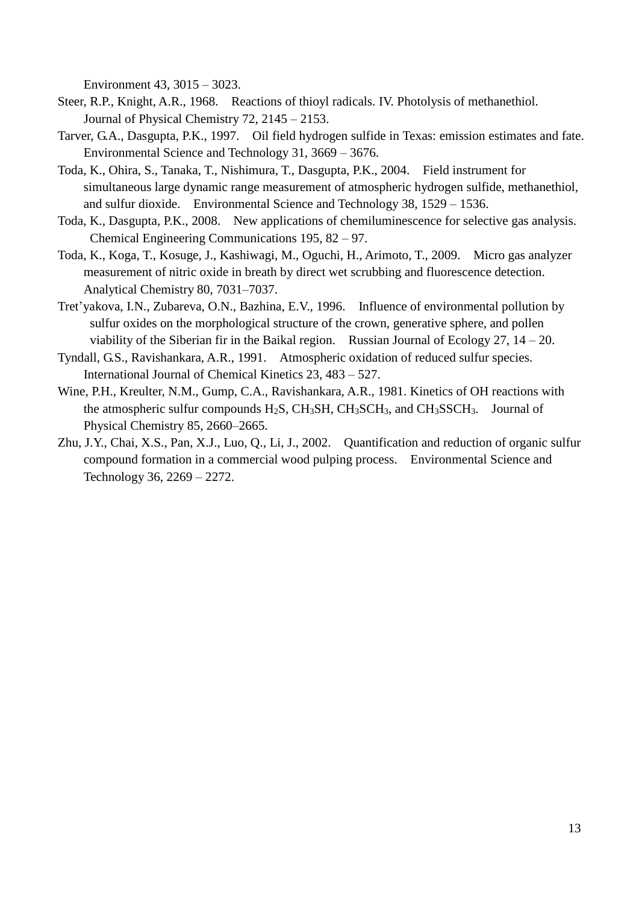Environment 43, 3015 – 3023.

- Steer, R.P., Knight, A.R., 1968. Reactions of thioyl radicals. IV. Photolysis of methanethiol. Journal of Physical Chemistry 72, 2145 – 2153.
- Tarver, G.A., Dasgupta, P.K., 1997. Oil field hydrogen sulfide in Texas: emission estimates and fate. Environmental Science and Technology 31, 3669 – 3676.
- Toda, K., Ohira, S., Tanaka, T., Nishimura, T., Dasgupta, P.K., 2004. Field instrument for simultaneous large dynamic range measurement of atmospheric hydrogen sulfide, methanethiol, and sulfur dioxide. Environmental Science and Technology 38, 1529 – 1536.
- Toda, K., Dasgupta, P.K., 2008. New applications of chemiluminescence for selective gas analysis. Chemical Engineering Communications 195, 82 – 97.
- Toda, K., Koga, T., Kosuge, J., Kashiwagi, M., Oguchi, H., Arimoto, T., 2009. Micro gas analyzer measurement of nitric oxide in breath by direct wet scrubbing and fluorescence detection. Analytical Chemistry 80, 7031–7037.
- Tret'yakova, I.N., Zubareva, O.N., Bazhina, E.V., 1996. Influence of environmental pollution by sulfur oxides on the morphological structure of the crown, generative sphere, and pollen viability of the Siberian fir in the Baikal region. Russian Journal of Ecology 27, 14 – 20.
- Tyndall, G.S., Ravishankara, A.R., 1991. Atmospheric oxidation of reduced sulfur species. International Journal of Chemical Kinetics 23, 483 – 527.
- Wine, P.H., Kreulter, N.M., Gump, C.A., Ravishankara, A.R., 1981. Kinetics of OH reactions with the atmospheric sulfur compounds  $H_2S$ ,  $CH_3SH$ ,  $CH_3SCH_3$ , and  $CH_3SSCH_3$ . Journal of Physical Chemistry 85, 2660–2665.
- Zhu, J.Y., Chai, X.S., Pan, X.J., Luo, Q., Li, J., 2002. Quantification and reduction of organic sulfur compound formation in a commercial wood pulping process. Environmental Science and Technology 36, 2269 – 2272.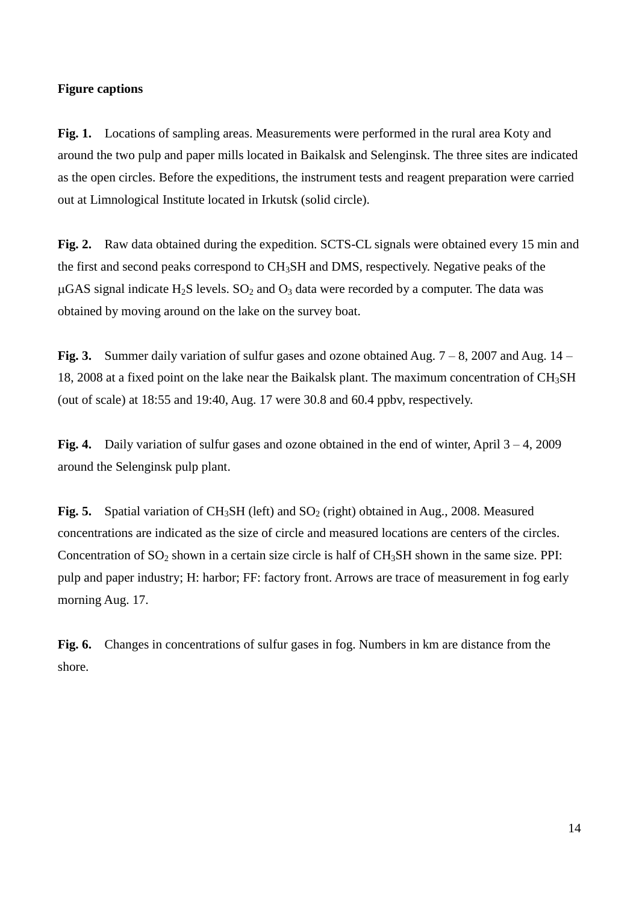### **Figure captions**

**Fig. 1.** Locations of sampling areas. Measurements were performed in the rural area Koty and around the two pulp and paper mills located in Baikalsk and Selenginsk. The three sites are indicated as the open circles. Before the expeditions, the instrument tests and reagent preparation were carried out at Limnological Institute located in Irkutsk (solid circle).

**Fig. 2.** Raw data obtained during the expedition. SCTS-CL signals were obtained every 15 min and the first and second peaks correspond to CH3SH and DMS, respectively. Negative peaks of the  $\mu$ GAS signal indicate H<sub>2</sub>S levels. SO<sub>2</sub> and O<sub>3</sub> data were recorded by a computer. The data was obtained by moving around on the lake on the survey boat.

**Fig. 3.** Summer daily variation of sulfur gases and ozone obtained Aug. 7 – 8, 2007 and Aug. 14 – 18, 2008 at a fixed point on the lake near the Baikalsk plant. The maximum concentration of  $CH<sub>3</sub>SH$ (out of scale) at 18:55 and 19:40, Aug. 17 were 30.8 and 60.4 ppbv, respectively.

Fig. 4. Daily variation of sulfur gases and ozone obtained in the end of winter, April  $3 - 4$ , 2009 around the Selenginsk pulp plant.

**Fig. 5.** Spatial variation of  $CH_3SH$  (left) and  $SO_2$  (right) obtained in Aug., 2008. Measured concentrations are indicated as the size of circle and measured locations are centers of the circles. Concentration of  $SO_2$  shown in a certain size circle is half of  $CH_3SH$  shown in the same size. PPI: pulp and paper industry; H: harbor; FF: factory front. Arrows are trace of measurement in fog early morning Aug. 17.

**Fig. 6.** Changes in concentrations of sulfur gases in fog. Numbers in km are distance from the shore.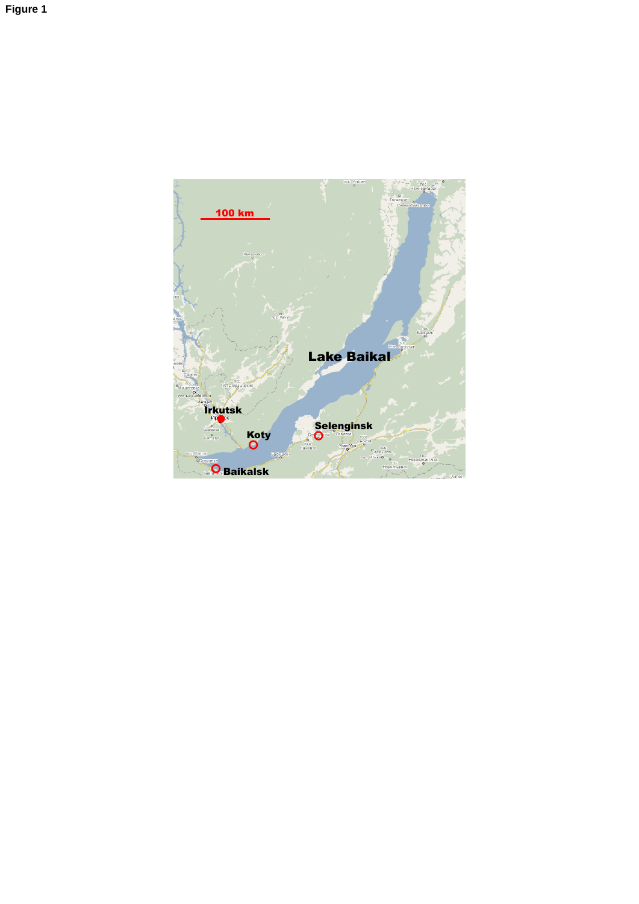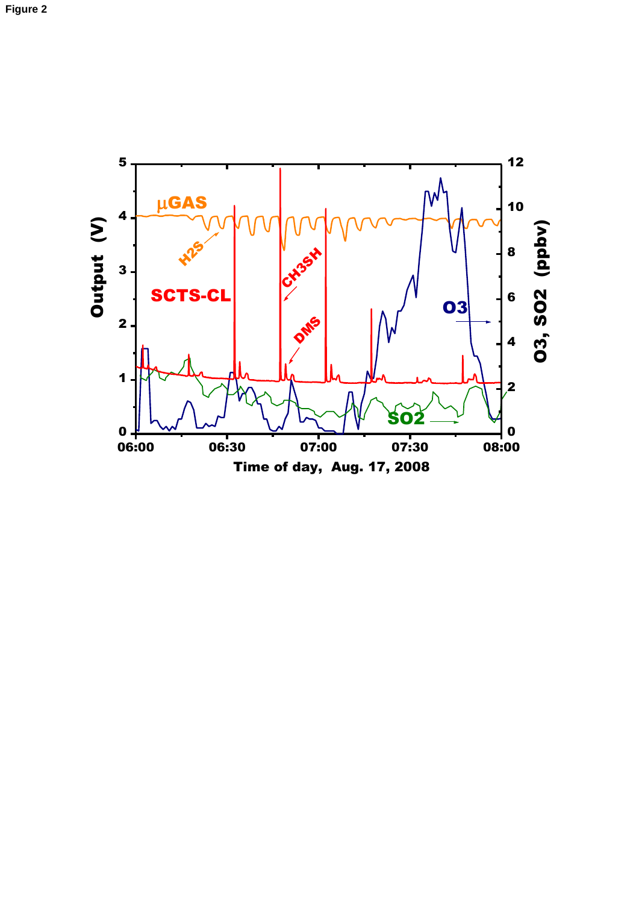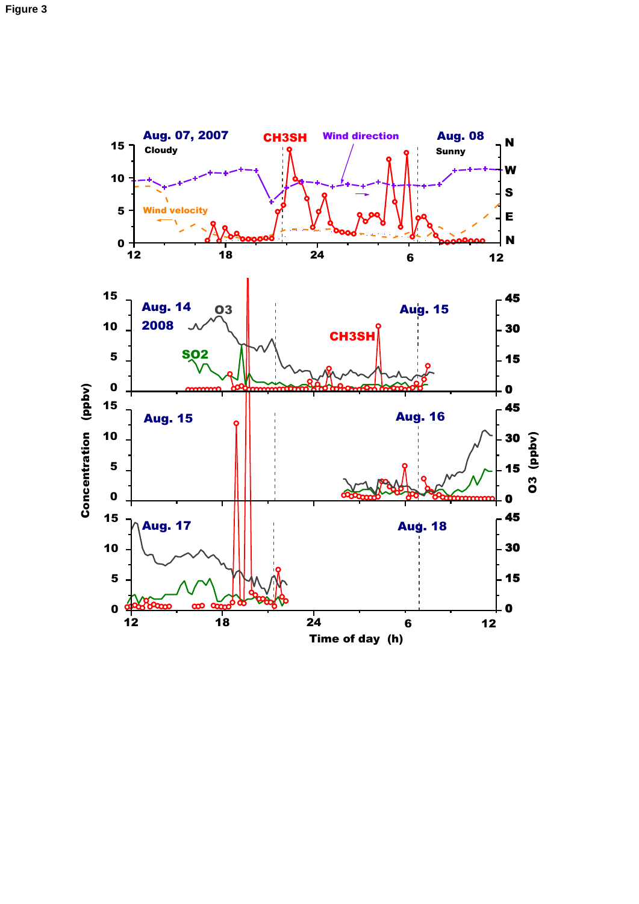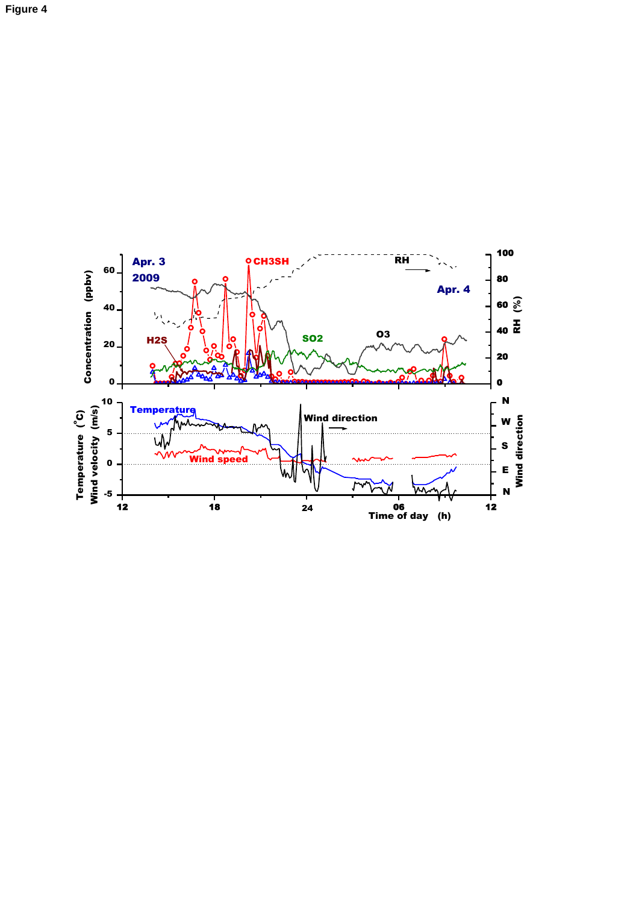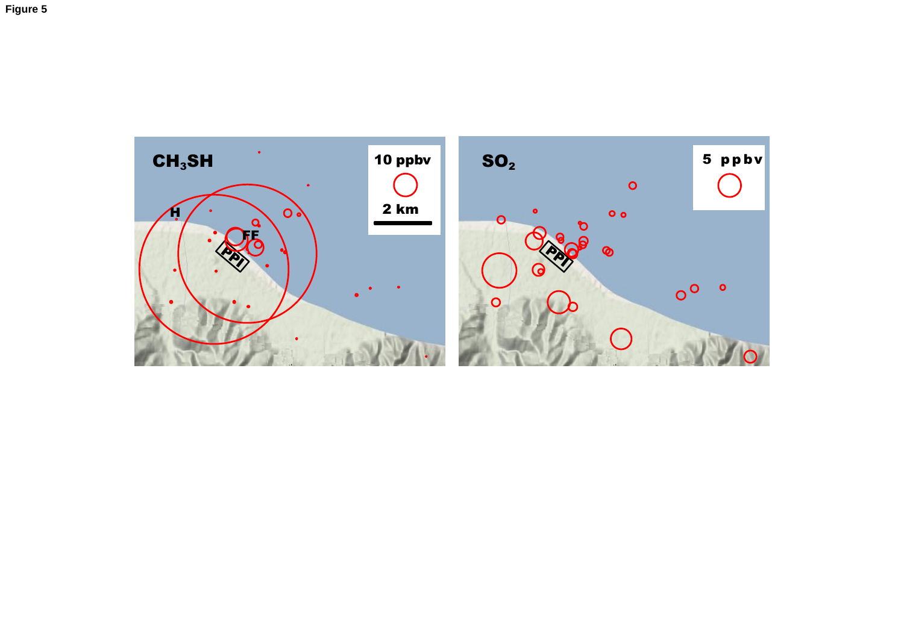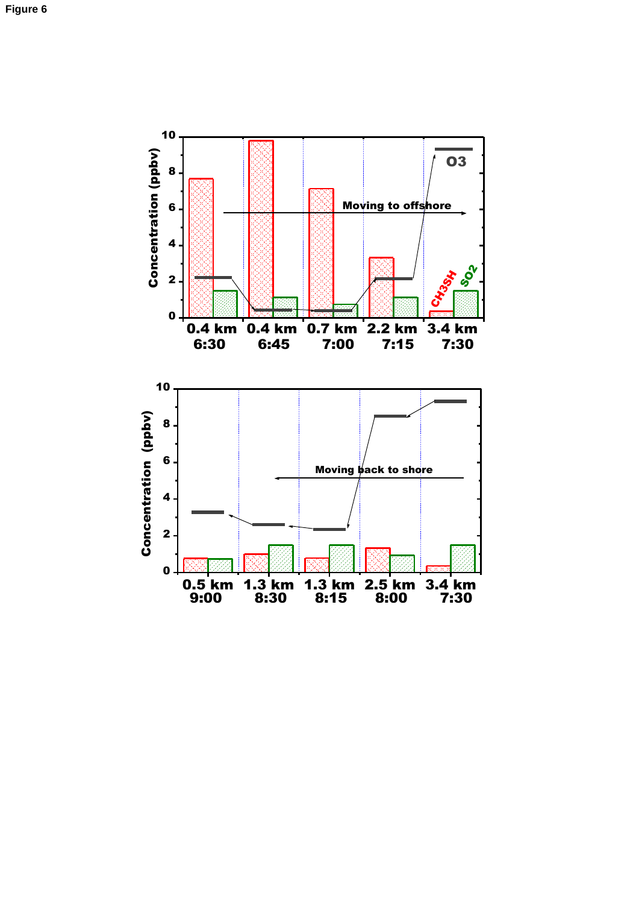